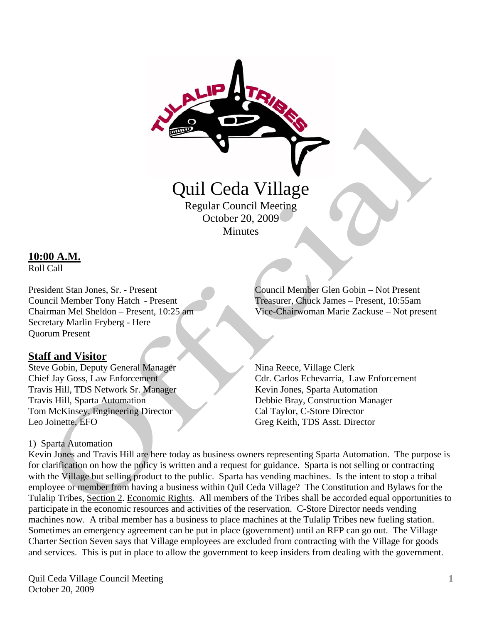

Regular Council Meeting October 20, 2009 **Minutes** 

### **10:00 A.M.**

Roll Call

Secretary Marlin Fryberg - Here Quorum Present

### **Staff and Visitor**

Steve Gobin, Deputy General Manager Nina Reece, Village Clerk Travis Hill, TDS Network Sr. Manager Kevin Jones, Sparta Automation Travis Hill, Sparta Automation Debbie Bray, Construction Manager Tom McKinsey, Engineering Director Cal Taylor, C-Store Director Leo Joinette, EFO Greg Keith, TDS Asst. Director

### 1) Sparta Automation

President Stan Jones, Sr. - Present Council Member Glen Gobin – Not Present Council Member Tony Hatch - Present Treasurer, Chuck James – Present, 10:55am Chairman Mel Sheldon – Present, 10:25 am Vice-Chairwoman Marie Zackuse – Not present

Chief Jay Goss, Law Enforcement Cdr. Carlos Echevarria, Law Enforcement

Kevin Jones and Travis Hill are here today as business owners representing Sparta Automation. The purpose is for clarification on how the policy is written and a request for guidance. Sparta is not selling or contracting with the Village but selling product to the public. Sparta has vending machines. Is the intent to stop a tribal employee or member from having a business within Quil Ceda Village? The Constitution and Bylaws for the Tulalip Tribes, Section 2. Economic Rights. All members of the Tribes shall be accorded equal opportunities to participate in the economic resources and activities of the reservation. C-Store Director needs vending machines now. A tribal member has a business to place machines at the Tulalip Tribes new fueling station. Sometimes an emergency agreement can be put in place (government) until an RFP can go out. The Village Charter Section Seven says that Village employees are excluded from contracting with the Village for goods and services. This is put in place to allow the government to keep insiders from dealing with the government.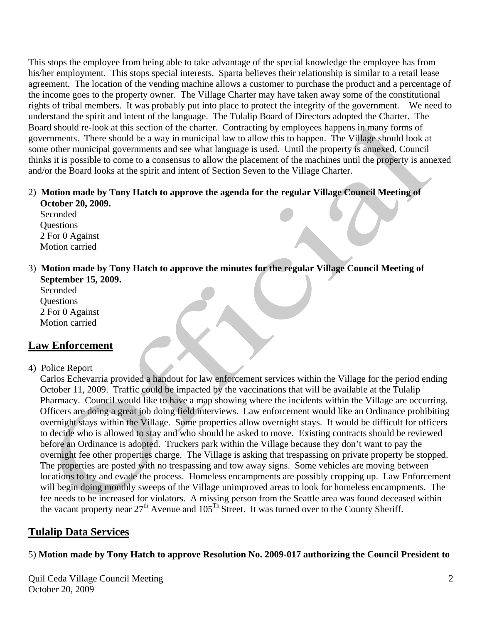This stops the employee from being able to take advantage of the special knowledge the employee has from his/her employment. This stops special interests. Sparta believes their relationship is similar to a retail lease agreement. The location of the vending machine allows a customer to purchase the product and a percentage of the income goes to the property owner. The Village Charter may have taken away some of the constitutional rights of tribal members. It was probably put into place to protect the integrity of the government. We need to understand the spirit and intent of the language. The Tulalip Board of Directors adopted the Charter. The Board should re-look at this section of the charter. Contracting by employees happens in many forms of governments. There should be a way in municipal law to allow this to happen. The Village should look at some other municipal governments and see what language is used. Until the property is annexed, Council thinks it is possible to come to a consensus to allow the placement of the machines until the property is annexed and/or the Board looks at the spirit and intent of Section Seven to the Village Charter.

#### 2) **Motion made by Tony Hatch to approve the agenda for the regular Village Council Meeting of October 20, 2009.**

 Seconded Questions 2 For 0 Against Motion carried

#### 3) **Motion made by Tony Hatch to approve the minutes for the regular Village Council Meeting of September 15, 2009.**

 Seconded **Ouestions**  2 For 0 Against Motion carried

## **Law Enforcement**

#### 4) Police Report

 Carlos Echevarria provided a handout for law enforcement services within the Village for the period ending October 11, 2009. Traffic could be impacted by the vaccinations that will be available at the Tulalip Pharmacy. Council would like to have a map showing where the incidents within the Village are occurring. Officers are doing a great job doing field interviews. Law enforcement would like an Ordinance prohibiting overnight stays within the Village. Some properties allow overnight stays. It would be difficult for officers to decide who is allowed to stay and who should be asked to move. Existing contracts should be reviewed before an Ordinance is adopted. Truckers park within the Village because they don't want to pay the overnight fee other properties charge. The Village is asking that trespassing on private property be stopped. The properties are posted with no trespassing and tow away signs. Some vehicles are moving between locations to try and evade the process. Homeless encampments are possibly cropping up. Law Enforcement will begin doing monthly sweeps of the Village unimproved areas to look for homeless encampments. The fee needs to be increased for violators. A missing person from the Seattle area was found deceased within the vacant property near  $27<sup>th</sup>$  Avenue and  $105<sup>Th</sup>$  Street. It was turned over to the County Sheriff.

## **Tulalip Data Services**

### 5) **Motion made by Tony Hatch to approve Resolution No. 2009-017 authorizing the Council President to**

Quil Ceda Village Council Meeting October 20, 2009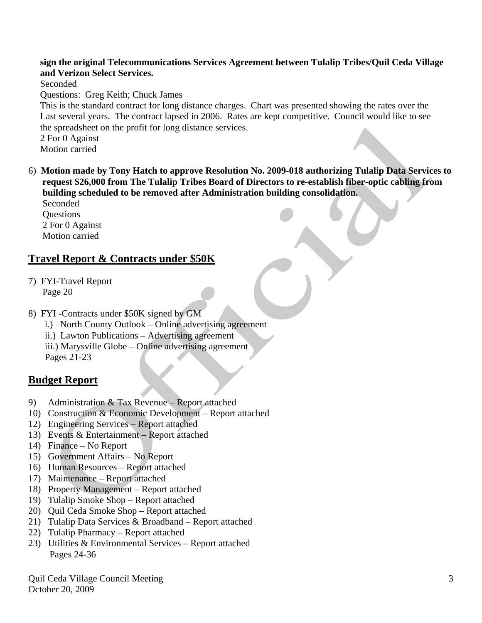#### **sign the original Telecommunications Services Agreement between Tulalip Tribes/Quil Ceda Village and Verizon Select Services.**

Seconded

Questions: Greg Keith; Chuck James

 This is the standard contract for long distance charges. Chart was presented showing the rates over the Last several years. The contract lapsed in 2006. Rates are kept competitive. Council would like to see the spreadsheet on the profit for long distance services.

 2 For 0 Against Motion carried

6) **Motion made by Tony Hatch to approve Resolution No. 2009-018 authorizing Tulalip Data Services to request \$26,000 from The Tulalip Tribes Board of Directors to re-establish fiber-optic cabling from building scheduled to be removed after Administration building consolidation.**  Seconded

 Questions 2 For 0 Against Motion carried

## **Travel Report & Contracts under \$50K**

- 7) FYI-Travel Report Page 20
- 8) FYI -Contracts under \$50K signed by GM
	- i.) North County Outlook Online advertising agreement
	- ii.) Lawton Publications Advertising agreement
	- iii.) Marysville Globe Online advertising agreement Pages 21-23

# **Budget Report**

- 9) Administration & Tax Revenue Report attached
- 10) Construction & Economic Development Report attached
- 12) Engineering Services Report attached
- 13) Events & Entertainment Report attached
- 14) Finance No Report
- 15) Government Affairs No Report
- 16) Human Resources Report attached
- 17) Maintenance Report attached
- 18) Property Management Report attached
- 19) Tulalip Smoke Shop Report attached
- 20) Quil Ceda Smoke Shop Report attached
- 21) Tulalip Data Services & Broadband Report attached
- 22) Tulalip Pharmacy Report attached
- 23) Utilities & Environmental Services Report attached Pages 24-36

Quil Ceda Village Council Meeting October 20, 2009